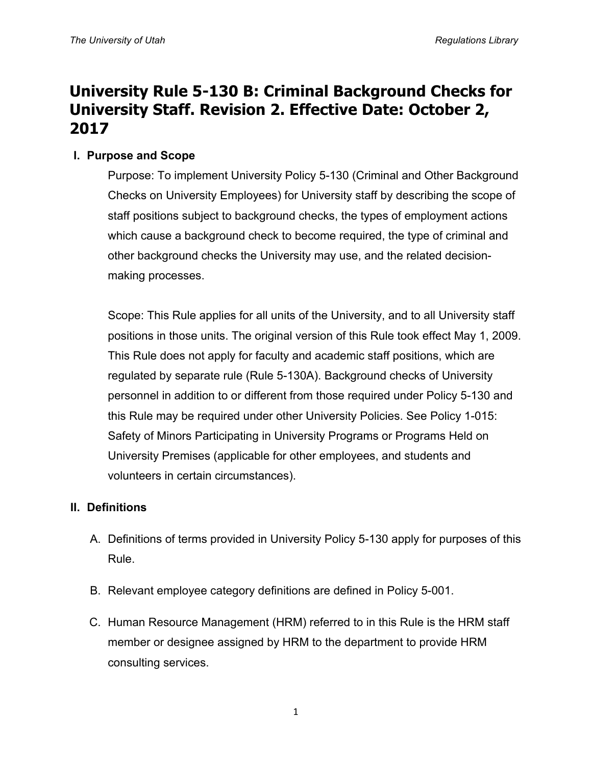# **University Rule 5-130 B: Criminal Background Checks for University Staff. Revision 2. Effective Date: October 2, 2017**

## **I. Purpose and Scope**

Purpose: To implement University Policy 5-130 (Criminal and Other Background Checks on University Employees) for University staff by describing the scope of staff positions subject to background checks, the types of employment actions which cause a background check to become required, the type of criminal and other background checks the University may use, and the related decisionmaking processes.

Scope: This Rule applies for all units of the University, and to all University staff positions in those units. The original version of this Rule took effect May 1, 2009. This Rule does not apply for faculty and academic staff positions, which are regulated by separate rule (Rule 5-130A). Background checks of University personnel in addition to or different from those required under Policy 5-130 and this Rule may be required under other University Policies. See Policy 1-015: Safety of Minors Participating in University Programs or Programs Held on University Premises (applicable for other employees, and students and volunteers in certain circumstances).

#### **II. Definitions**

- A. Definitions of terms provided in University Policy 5-130 apply for purposes of this Rule.
- B. Relevant employee category definitions are defined in Policy 5-001.
- C. Human Resource Management (HRM) referred to in this Rule is the HRM staff member or designee assigned by HRM to the department to provide HRM consulting services.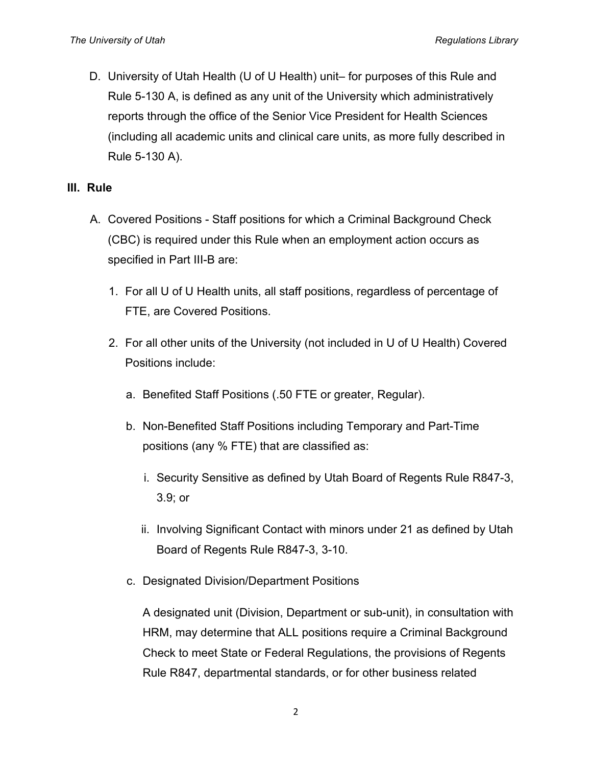D. University of Utah Health (U of U Health) unit– for purposes of this Rule and Rule 5-130 A, is defined as any unit of the University which administratively reports through the office of the Senior Vice President for Health Sciences (including all academic units and clinical care units, as more fully described in Rule 5-130 A).

#### **III. Rule**

- A. Covered Positions Staff positions for which a Criminal Background Check (CBC) is required under this Rule when an employment action occurs as specified in Part III-B are:
	- 1. For all U of U Health units, all staff positions, regardless of percentage of FTE, are Covered Positions.
	- 2. For all other units of the University (not included in U of U Health) Covered Positions include:
		- a. Benefited Staff Positions (.50 FTE or greater, Regular).
		- b. Non-Benefited Staff Positions including Temporary and Part-Time positions (any % FTE) that are classified as:
			- i. Security Sensitive as defined by Utah Board of Regents Rule R847-3, 3.9; or
			- ii. Involving Significant Contact with minors under 21 as defined by Utah Board of Regents Rule R847-3, 3-10.
		- c. Designated Division/Department Positions

A designated unit (Division, Department or sub-unit), in consultation with HRM, may determine that ALL positions require a Criminal Background Check to meet State or Federal Regulations, the provisions of Regents Rule R847, departmental standards, or for other business related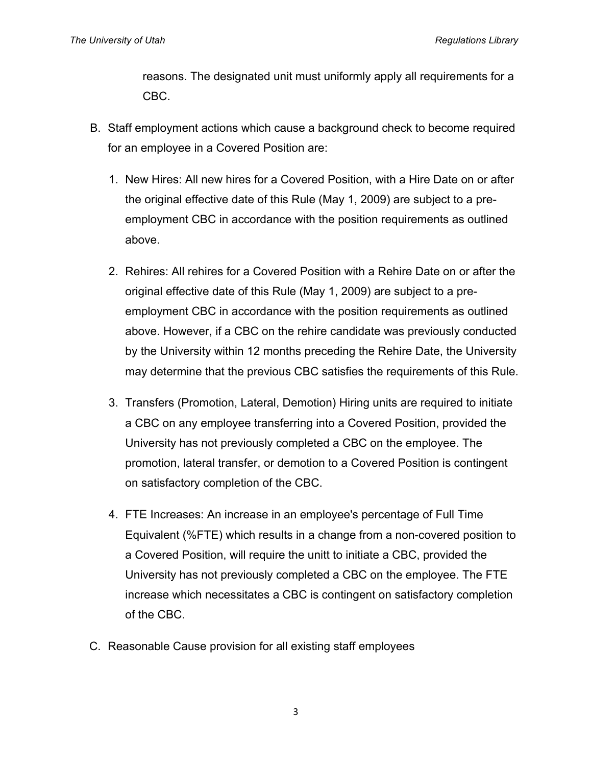reasons. The designated unit must uniformly apply all requirements for a CBC.

- B. Staff employment actions which cause a background check to become required for an employee in a Covered Position are:
	- 1. New Hires: All new hires for a Covered Position, with a Hire Date on or after the original effective date of this Rule (May 1, 2009) are subject to a preemployment CBC in accordance with the position requirements as outlined above.
	- 2. Rehires: All rehires for a Covered Position with a Rehire Date on or after the original effective date of this Rule (May 1, 2009) are subject to a preemployment CBC in accordance with the position requirements as outlined above. However, if a CBC on the rehire candidate was previously conducted by the University within 12 months preceding the Rehire Date, the University may determine that the previous CBC satisfies the requirements of this Rule.
	- 3. Transfers (Promotion, Lateral, Demotion) Hiring units are required to initiate a CBC on any employee transferring into a Covered Position, provided the University has not previously completed a CBC on the employee. The promotion, lateral transfer, or demotion to a Covered Position is contingent on satisfactory completion of the CBC.
	- 4. FTE Increases: An increase in an employee's percentage of Full Time Equivalent (%FTE) which results in a change from a non-covered position to a Covered Position, will require the unitt to initiate a CBC, provided the University has not previously completed a CBC on the employee. The FTE increase which necessitates a CBC is contingent on satisfactory completion of the CBC.
- C. Reasonable Cause provision for all existing staff employees

3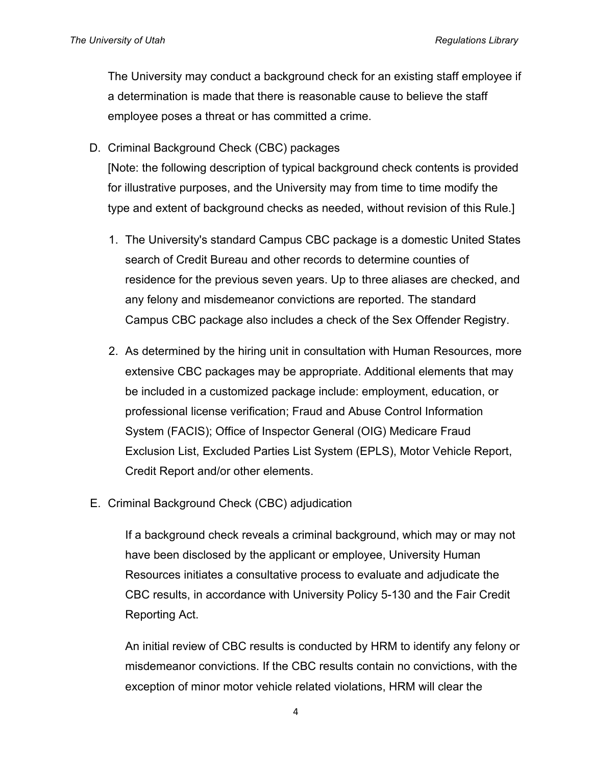The University may conduct a background check for an existing staff employee if a determination is made that there is reasonable cause to believe the staff employee poses a threat or has committed a crime.

D. Criminal Background Check (CBC) packages

[Note: the following description of typical background check contents is provided for illustrative purposes, and the University may from time to time modify the type and extent of background checks as needed, without revision of this Rule.]

- 1. The University's standard Campus CBC package is a domestic United States search of Credit Bureau and other records to determine counties of residence for the previous seven years. Up to three aliases are checked, and any felony and misdemeanor convictions are reported. The standard Campus CBC package also includes a check of the Sex Offender Registry.
- 2. As determined by the hiring unit in consultation with Human Resources, more extensive CBC packages may be appropriate. Additional elements that may be included in a customized package include: employment, education, or professional license verification; Fraud and Abuse Control Information System (FACIS); Office of Inspector General (OIG) Medicare Fraud Exclusion List, Excluded Parties List System (EPLS), Motor Vehicle Report, Credit Report and/or other elements.
- E. Criminal Background Check (CBC) adjudication

If a background check reveals a criminal background, which may or may not have been disclosed by the applicant or employee, University Human Resources initiates a consultative process to evaluate and adjudicate the CBC results, in accordance with University Policy 5-130 and the Fair Credit Reporting Act.

An initial review of CBC results is conducted by HRM to identify any felony or misdemeanor convictions. If the CBC results contain no convictions, with the exception of minor motor vehicle related violations, HRM will clear the

4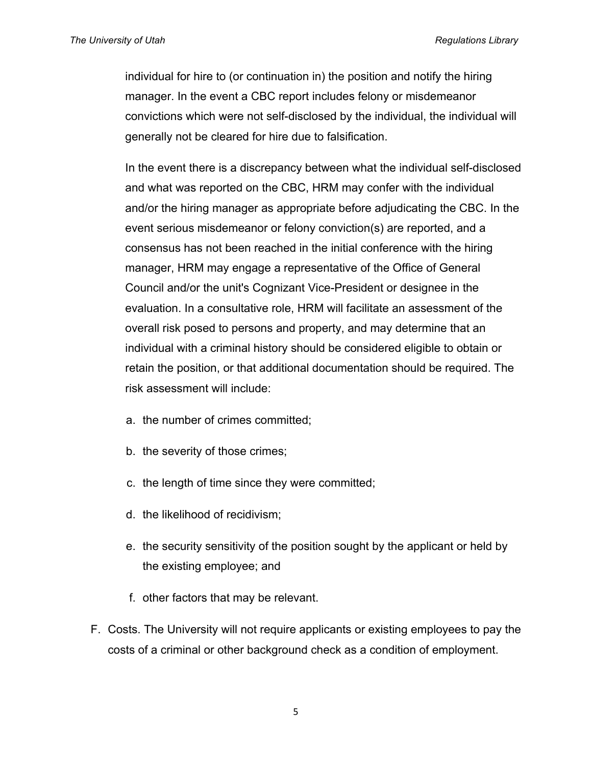individual for hire to (or continuation in) the position and notify the hiring manager. In the event a CBC report includes felony or misdemeanor convictions which were not self-disclosed by the individual, the individual will generally not be cleared for hire due to falsification.

In the event there is a discrepancy between what the individual self-disclosed and what was reported on the CBC, HRM may confer with the individual and/or the hiring manager as appropriate before adjudicating the CBC. In the event serious misdemeanor or felony conviction(s) are reported, and a consensus has not been reached in the initial conference with the hiring manager, HRM may engage a representative of the Office of General Council and/or the unit's Cognizant Vice-President or designee in the evaluation. In a consultative role, HRM will facilitate an assessment of the overall risk posed to persons and property, and may determine that an individual with a criminal history should be considered eligible to obtain or retain the position, or that additional documentation should be required. The risk assessment will include:

- a. the number of crimes committed;
- b. the severity of those crimes;
- c. the length of time since they were committed;
- d. the likelihood of recidivism;
- e. the security sensitivity of the position sought by the applicant or held by the existing employee; and
- f. other factors that may be relevant.
- F. Costs. The University will not require applicants or existing employees to pay the costs of a criminal or other background check as a condition of employment.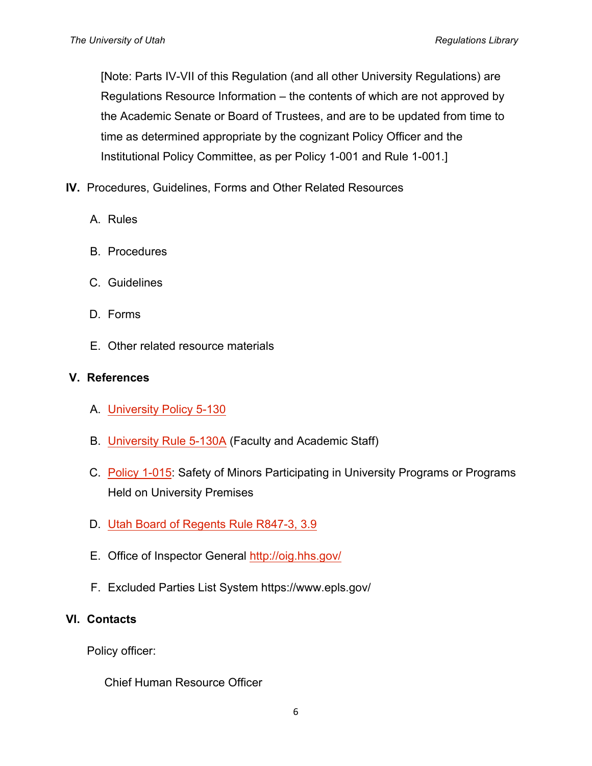[Note: Parts IV-VII of this Regulation (and all other University Regulations) are Regulations Resource Information – the contents of which are not approved by the Academic Senate or Board of Trustees, and are to be updated from time to time as determined appropriate by the cognizant Policy Officer and the Institutional Policy Committee, as per Policy 1-001 and Rule 1-001.]

- **IV.** Procedures, Guidelines, Forms and Other Related Resources
	- A. Rules
	- B. Procedures
	- C. Guidelines
	- D. Forms
	- E. Other related resource materials

#### **V. References**

- A. University Policy 5-130
- B. University Rule 5-130A (Faculty and Academic Staff)
- C. Policy 1-015: Safety of Minors Participating in University Programs or Programs Held on University Premises
- D. Utah Board of Regents Rule R847-3, 3.9
- E. Office of Inspector General http://oig.hhs.gov/
- F. Excluded Parties List System https://www.epls.gov/

# **VI. Contacts**

Policy officer:

Chief Human Resource Officer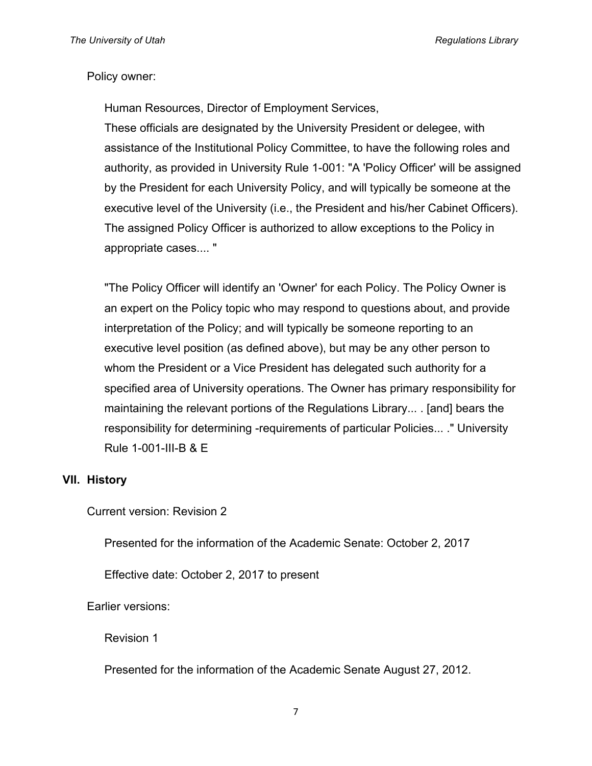#### Policy owner:

Human Resources, Director of Employment Services,

These officials are designated by the University President or delegee, with assistance of the Institutional Policy Committee, to have the following roles and authority, as provided in University Rule 1-001: "A 'Policy Officer' will be assigned by the President for each University Policy, and will typically be someone at the executive level of the University (i.e., the President and his/her Cabinet Officers). The assigned Policy Officer is authorized to allow exceptions to the Policy in appropriate cases.... "

"The Policy Officer will identify an 'Owner' for each Policy. The Policy Owner is an expert on the Policy topic who may respond to questions about, and provide interpretation of the Policy; and will typically be someone reporting to an executive level position (as defined above), but may be any other person to whom the President or a Vice President has delegated such authority for a specified area of University operations. The Owner has primary responsibility for maintaining the relevant portions of the Regulations Library... . [and] bears the responsibility for determining -requirements of particular Policies... ." University Rule 1-001-III-B & E

#### **VII. History**

Current version: Revision 2

Presented for the information of the Academic Senate: October 2, 2017

Effective date: October 2, 2017 to present

Earlier versions:

Revision 1

Presented for the information of the Academic Senate August 27, 2012.